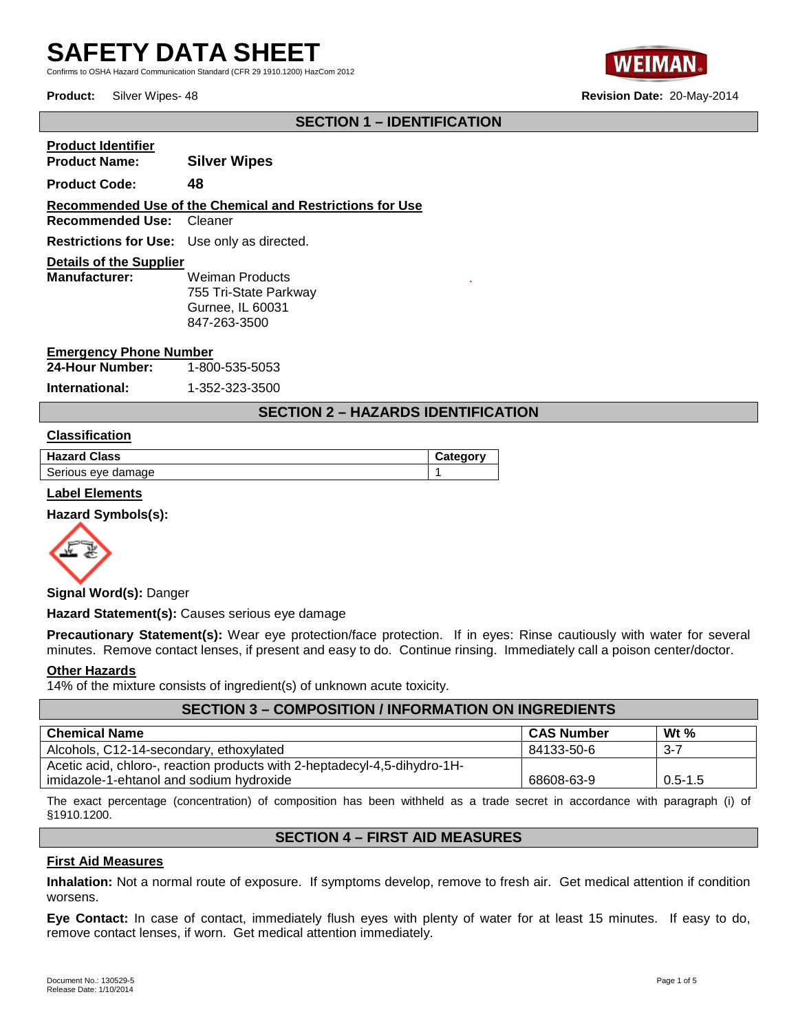# **SAFETY DATA SHEET**

Confirms to OSHA Hazard Communication Standard (CFR 29 1910.1200) HazCom 2012



# **SECTION 1 – IDENTIFICATION**

| <b>Product Identifier</b>                          |                                                          |
|----------------------------------------------------|----------------------------------------------------------|
| <b>Product Name:</b>                               | <b>Silver Wipes</b>                                      |
| <b>Product Code:</b>                               | 48                                                       |
|                                                    | Recommended Use of the Chemical and Restrictions for Use |
| <b>Recommended Use: Cleaner</b>                    |                                                          |
| <b>Restrictions for Use:</b> Use only as directed. |                                                          |
| <b>Details of the Supplier</b>                     |                                                          |
| <b>Manufacturer:</b>                               | Weiman Products                                          |
|                                                    | 755 Tri-State Parkway                                    |
|                                                    | Gurnee, IL 60031                                         |
|                                                    | 847-263-3500                                             |

#### **Emergency Phone Number**

| 24-Hour Number: | 1-800-535-5053 |
|-----------------|----------------|
|-----------------|----------------|

**International:** 1-352-323-3500

# **SECTION 2 – HAZARDS IDENTIFICATION**

.

#### **Classification**

| <b>Hazard Class</b> | Category |
|---------------------|----------|
| Serious eye damage  |          |

#### **Label Elements**

**Hazard Symbols(s):** 



#### **Signal Word(s):** Danger

**Hazard Statement(s):** Causes serious eye damage

**Precautionary Statement(s):** Wear eye protection/face protection. If in eyes: Rinse cautiously with water for several minutes. Remove contact lenses, if present and easy to do. Continue rinsing. Immediately call a poison center/doctor.

#### **Other Hazards**

14% of the mixture consists of ingredient(s) of unknown acute toxicity.

| <b>SECTION 3 - COMPOSITION / INFORMATION ON INGREDIENTS</b>               |                   |             |  |
|---------------------------------------------------------------------------|-------------------|-------------|--|
| <b>Chemical Name</b>                                                      | <b>CAS Number</b> | Wt $%$      |  |
| Alcohols, C12-14-secondary, ethoxylated                                   | 84133-50-6        | $3 - 7$     |  |
| Acetic acid, chloro-, reaction products with 2-heptadecyl-4,5-dihydro-1H- |                   |             |  |
| imidazole-1-ehtanol and sodium hydroxide                                  | 68608-63-9        | $0.5 - 1.5$ |  |

The exact percentage (concentration) of composition has been withheld as a trade secret in accordance with paragraph (i) of §1910.1200.

# **SECTION 4 – FIRST AID MEASURES**

#### **First Aid Measures**

**Inhalation:** Not a normal route of exposure. If symptoms develop, remove to fresh air. Get medical attention if condition worsens.

**Eye Contact:** In case of contact, immediately flush eyes with plenty of water for at least 15 minutes. If easy to do, remove contact lenses, if worn. Get medical attention immediately.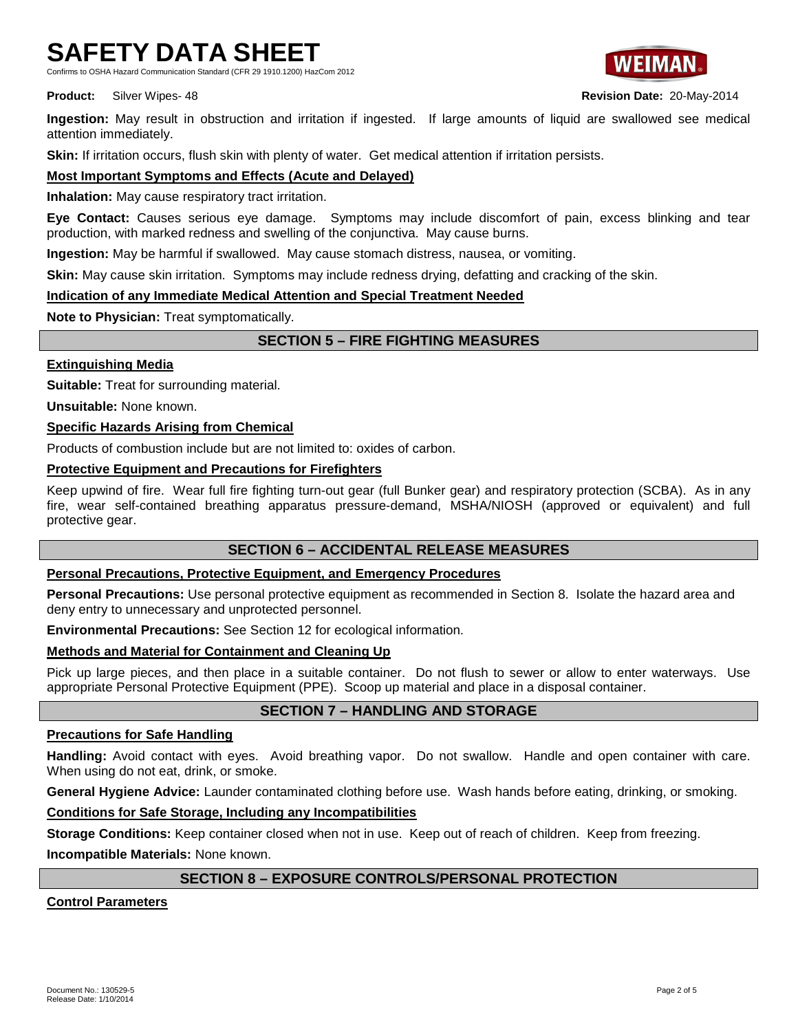# **SAFETY DATA SHEET**

Confirms to OSHA Hazard Communication Standard (CFR 29 1910.1200) HazCom 2012



#### **Product:** Silver Wipes- 48 **Revision Date:** 20-May-2014

**Ingestion:** May result in obstruction and irritation if ingested. If large amounts of liquid are swallowed see medical attention immediately.

**Skin:** If irritation occurs, flush skin with plenty of water. Get medical attention if irritation persists.

# **Most Important Symptoms and Effects (Acute and Delayed)**

**Inhalation:** May cause respiratory tract irritation.

**Eye Contact:** Causes serious eye damage. Symptoms may include discomfort of pain, excess blinking and tear production, with marked redness and swelling of the conjunctiva. May cause burns.

**Ingestion:** May be harmful if swallowed. May cause stomach distress, nausea, or vomiting.

**Skin:** May cause skin irritation. Symptoms may include redness drying, defatting and cracking of the skin.

#### **Indication of any Immediate Medical Attention and Special Treatment Needed**

**Note to Physician:** Treat symptomatically.

# **SECTION 5 – FIRE FIGHTING MEASURES**

#### **Extinguishing Media**

**Suitable:** Treat for surrounding material.

**Unsuitable:** None known.

## **Specific Hazards Arising from Chemical**

Products of combustion include but are not limited to: oxides of carbon.

# **Protective Equipment and Precautions for Firefighters**

Keep upwind of fire. Wear full fire fighting turn-out gear (full Bunker gear) and respiratory protection (SCBA). As in any fire, wear self-contained breathing apparatus pressure-demand, MSHA/NIOSH (approved or equivalent) and full protective gear.

# **SECTION 6 – ACCIDENTAL RELEASE MEASURES**

## **Personal Precautions, Protective Equipment, and Emergency Procedures**

**Personal Precautions:** Use personal protective equipment as recommended in Section 8. Isolate the hazard area and deny entry to unnecessary and unprotected personnel.

**Environmental Precautions:** See Section 12 for ecological information.

## **Methods and Material for Containment and Cleaning Up**

Pick up large pieces, and then place in a suitable container. Do not flush to sewer or allow to enter waterways. Use appropriate Personal Protective Equipment (PPE). Scoop up material and place in a disposal container.

# **SECTION 7 – HANDLING AND STORAGE**

#### **Precautions for Safe Handling**

**Handling:** Avoid contact with eyes. Avoid breathing vapor. Do not swallow. Handle and open container with care. When using do not eat, drink, or smoke.

**General Hygiene Advice:** Launder contaminated clothing before use. Wash hands before eating, drinking, or smoking.

## **Conditions for Safe Storage, Including any Incompatibilities**

**Storage Conditions:** Keep container closed when not in use. Keep out of reach of children. Keep from freezing.

**Incompatible Materials:** None known.

# **SECTION 8 – EXPOSURE CONTROLS/PERSONAL PROTECTION**

**Control Parameters**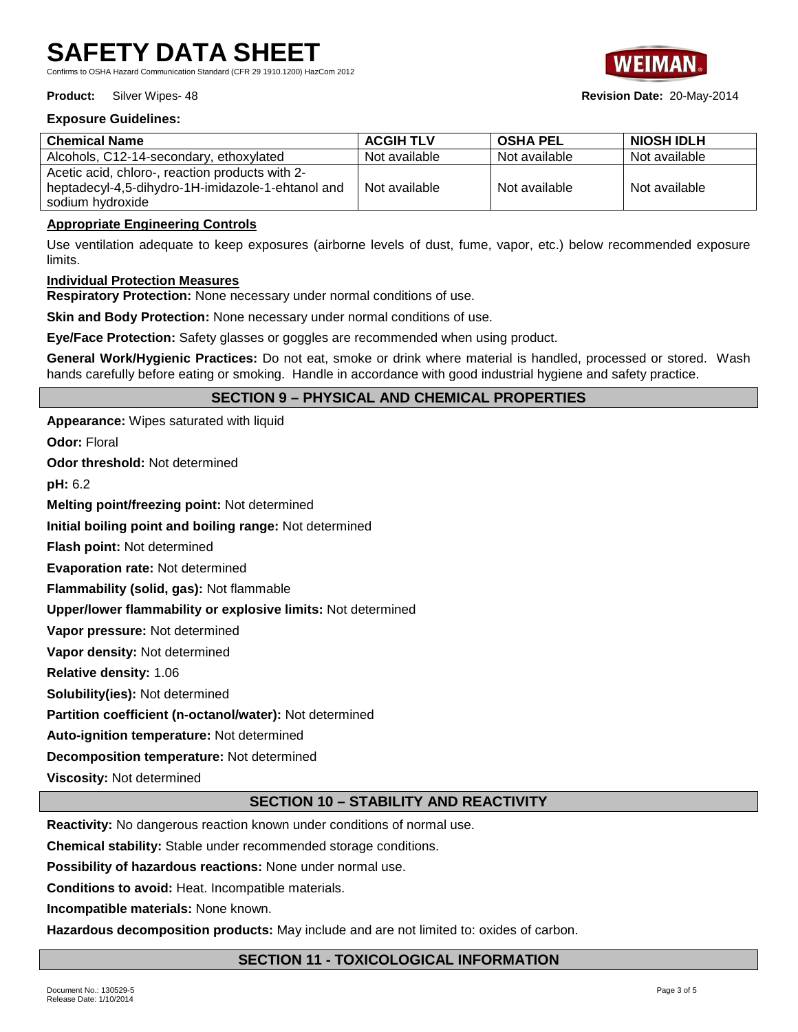#### **Product:** Silver Wipes- 48 **Revision Date:** 20-May-2014

# **Exposure Guidelines:**

| <b>Chemical Name</b>                                                                                                     | <b>ACGIH TLV</b> | <b>OSHA PEL</b> | <b>NIOSH IDLH</b> |
|--------------------------------------------------------------------------------------------------------------------------|------------------|-----------------|-------------------|
| Alcohols, C12-14-secondary, ethoxylated                                                                                  | Not available    | Not available   | Not available     |
| Acetic acid, chloro-, reaction products with 2-<br>heptadecyl-4,5-dihydro-1H-imidazole-1-ehtanol and<br>sodium hvdroxide | Not available    | Not available   | Not available     |

#### **Appropriate Engineering Controls**

Use ventilation adequate to keep exposures (airborne levels of dust, fume, vapor, etc.) below recommended exposure limits.

#### **Individual Protection Measures**

**Respiratory Protection:** None necessary under normal conditions of use.

**Skin and Body Protection:** None necessary under normal conditions of use.

**Eye/Face Protection:** Safety glasses or goggles are recommended when using product.

**General Work/Hygienic Practices:** Do not eat, smoke or drink where material is handled, processed or stored. Wash hands carefully before eating or smoking. Handle in accordance with good industrial hygiene and safety practice.

# **SECTION 9 – PHYSICAL AND CHEMICAL PROPERTIES**

**Appearance:** Wipes saturated with liquid

**Odor:** Floral

**Odor threshold:** Not determined

**pH:** 6.2

**Melting point/freezing point:** Not determined

**Initial boiling point and boiling range:** Not determined

**Flash point:** Not determined

**Evaporation rate:** Not determined

**Flammability (solid, gas):** Not flammable

**Upper/lower flammability or explosive limits:** Not determined

**Vapor pressure:** Not determined

**Vapor density:** Not determined

**Relative density:** 1.06

**Solubility(ies):** Not determined

**Partition coefficient (n-octanol/water):** Not determined

**Auto-ignition temperature:** Not determined

**Decomposition temperature:** Not determined

**Viscosity:** Not determined

# **SECTION 10 – STABILITY AND REACTIVITY**

**Reactivity:** No dangerous reaction known under conditions of normal use.

**Chemical stability:** Stable under recommended storage conditions.

**Possibility of hazardous reactions:** None under normal use.

**Conditions to avoid:** Heat. Incompatible materials.

**Incompatible materials:** None known.

**Hazardous decomposition products:** May include and are not limited to: oxides of carbon.

# **SECTION 11 - TOXICOLOGICAL INFORMATION**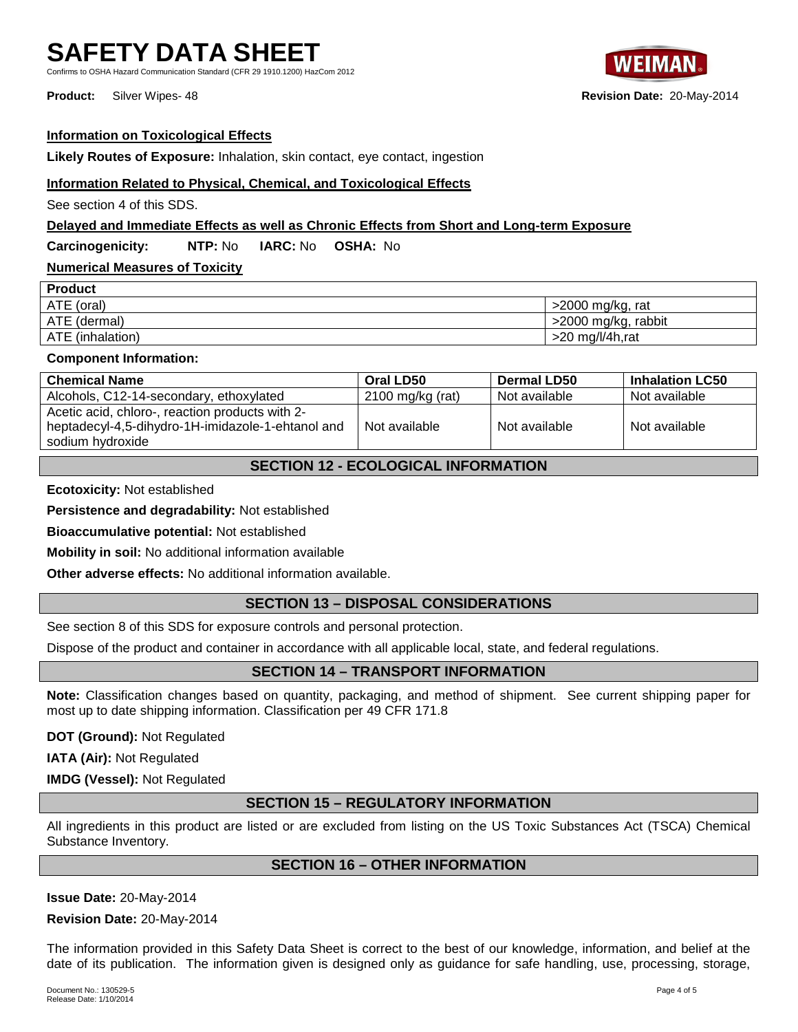# **SAFETY DATA SHEET**

Standard (CFR 29 1910.1200) HazCom 2012

# **Information on Toxicological Effects**

**Likely Routes of Exposure:** Inhalation, skin contact, eye contact, ingestion

# **Information Related to Physical, Chemical, and Toxicological Effects**

See section 4 of this SDS.

#### **Delayed and Immediate Effects as well as Chronic Effects from Short and Long-term Exposure**

**Carcinogenicity: NTP:** No **IARC:** No **OSHA:** No

## **Numerical Measures of Toxicity**

| <b>Product</b>   |                     |
|------------------|---------------------|
| ATE (oral)       | >2000 mg/kg, rat    |
| ATE (dermal)     | >2000 mg/kg, rabbit |
| ATE (inhalation) | >20 mg/l/4h,rat     |

#### **Component Information:**

| <b>Chemical Name</b>                                                                                                     | Oral LD50        | Dermal LD50   | <b>Inhalation LC50</b> |
|--------------------------------------------------------------------------------------------------------------------------|------------------|---------------|------------------------|
| Alcohols, C12-14-secondary, ethoxylated                                                                                  | 2100 mg/kg (rat) | Not available | Not available          |
| Acetic acid, chloro-, reaction products with 2-<br>heptadecyl-4,5-dihydro-1H-imidazole-1-ehtanol and<br>sodium hvdroxide | Not available    | Not available | Not available          |
|                                                                                                                          |                  |               |                        |

# **SECTION 12 - ECOLOGICAL INFORMATION**

**Ecotoxicity:** Not established

**Persistence and degradability:** Not established

**Bioaccumulative potential:** Not established

**Mobility in soil:** No additional information available

**Other adverse effects:** No additional information available.

## **SECTION 13 – DISPOSAL CONSIDERATIONS**

See section 8 of this SDS for exposure controls and personal protection.

Dispose of the product and container in accordance with all applicable local, state, and federal regulations.

# **SECTION 14 – TRANSPORT INFORMATION**

**Note:** Classification changes based on quantity, packaging, and method of shipment. See current shipping paper for most up to date shipping information. Classification per 49 CFR 171.8

**DOT (Ground):** Not Regulated

**IATA (Air):** Not Regulated

**IMDG (Vessel):** Not Regulated

# **SECTION 15 – REGULATORY INFORMATION**

All ingredients in this product are listed or are excluded from listing on the US Toxic Substances Act (TSCA) Chemical Substance Inventory.

# **SECTION 16 – OTHER INFORMATION**

**Issue Date:** 20-May-2014

**Revision Date:** 20-May-2014

The information provided in this Safety Data Sheet is correct to the best of our knowledge, information, and belief at the date of its publication. The information given is designed only as guidance for safe handling, use, processing, storage,